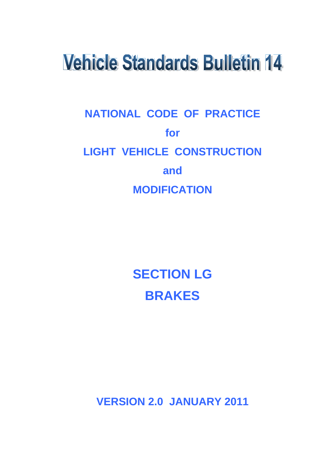# **Vehicle Standards Bulletin 14**

# **NATIONAL CODE OF PRACTICE for LIGHT VEHICLE CONSTRUCTION and MODIFICATION**

**SECTION LG BRAKES**

**VERSION 2.0 JANUARY 2011**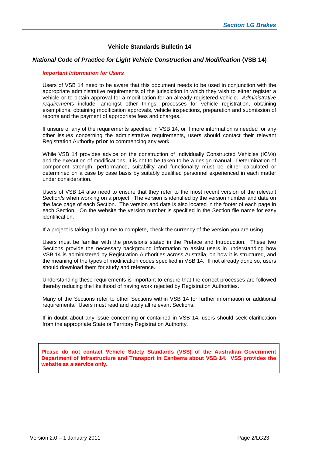#### **Vehicle Standards Bulletin 14**

#### *National Code of Practice for Light Vehicle Construction and Modification* **(VSB 14)**

#### *Important Information for Users*

Users of VSB 14 need to be aware that this document needs to be used in conjunction with the appropriate administrative requirements of the jurisdiction in which they wish to either register a vehicle or to obtain approval for a modification for an already registered vehicle. *Administrative requirements* include, amongst other things, processes for vehicle registration, obtaining exemptions, obtaining modification approvals, vehicle inspections, preparation and submission of reports and the payment of appropriate fees and charges.

If unsure of any of the requirements specified in VSB 14, or if more information is needed for any other issues concerning the administrative requirements, users should contact their relevant Registration Authority **prior** to commencing any work.

While VSB 14 provides advice on the construction of Individually Constructed Vehicles (ICVs) and the execution of modifications, it is not to be taken to be a design manual. Determination of component strength, performance, suitability and functionality must be either calculated or determined on a case by case basis by suitably qualified personnel experienced in each matter under consideration.

Users of VSB 14 also need to ensure that they refer to the most recent version of the relevant Section/s when working on a project. The version is identified by the version number and date on the face page of each Section. The version and date is also located in the footer of each page in each Section. On the website the version number is specified in the Section file name for easy identification.

If a project is taking a long time to complete, check the currency of the version you are using.

Users must be familiar with the provisions stated in the Preface and Introduction. These two Sections provide the necessary background information to assist users in understanding how VSB 14 is administered by Registration Authorities across Australia, on how it is structured, and the meaning of the types of modification codes specified in VSB 14. If not already done so, users should download them for study and reference.

Understanding these requirements is important to ensure that the correct processes are followed thereby reducing the likelihood of having work rejected by Registration Authorities.

Many of the Sections refer to other Sections within VSB 14 for further information or additional requirements. Users must read and apply all relevant Sections.

If in doubt about any issue concerning or contained in VSB 14, users should seek clarification from the appropriate State or Territory Registration Authority.

**Please do not contact Vehicle Safety Standards (VSS) of the Australian Government Department of Infrastructure and Transport in Canberra about VSB 14. VSS provides the website as a service only.**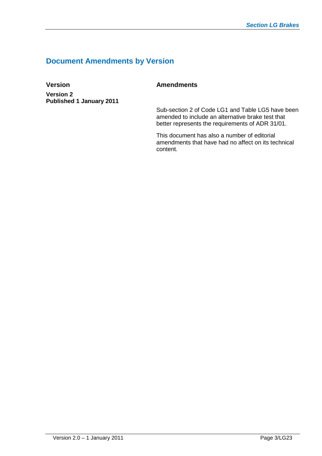# **Document Amendments by Version**

**Version** Amendments **Version 2 Published 1 January 2011**

Sub-section 2 of Code LG1 and Table LG5 have been amended to include an alternative brake test that better represents the requirements of ADR 31/01.

This document has also a number of editorial amendments that have had no affect on its technical content.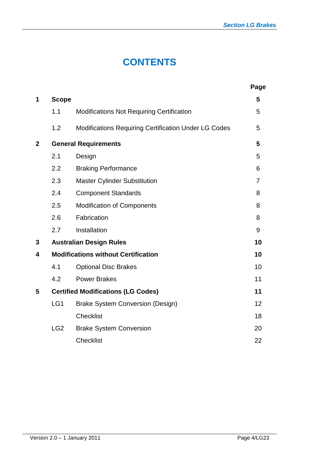# **CONTENTS**

|              |                 |                                                             | Page           |
|--------------|-----------------|-------------------------------------------------------------|----------------|
| 1            | <b>Scope</b>    |                                                             | 5              |
|              | 1.1             | <b>Modifications Not Requiring Certification</b>            | 5              |
|              | 1.2             | <b>Modifications Requiring Certification Under LG Codes</b> | 5              |
| $\mathbf{2}$ |                 | <b>General Requirements</b>                                 | 5              |
|              | 2.1             | Design                                                      | 5              |
|              | 2.2             | <b>Braking Performance</b>                                  | 6              |
|              | 2.3             | <b>Master Cylinder Substitution</b>                         | $\overline{7}$ |
|              | 2.4             | <b>Component Standards</b>                                  | 8              |
|              | 2.5             | <b>Modification of Components</b>                           | 8              |
|              | 2.6             | Fabrication                                                 | 8              |
|              | 2.7             | Installation                                                | 9              |
| 3            |                 | <b>Australian Design Rules</b>                              | 10             |
| 4            |                 | <b>Modifications without Certification</b>                  | 10             |
|              | 4.1             | <b>Optional Disc Brakes</b>                                 | 10             |
|              | 4.2             | <b>Power Brakes</b>                                         | 11             |
| 5            |                 | <b>Certified Modifications (LG Codes)</b>                   | 11             |
|              | LG1             | <b>Brake System Conversion (Design)</b>                     | 12             |
|              |                 | <b>Checklist</b>                                            | 18             |
|              | LG <sub>2</sub> | <b>Brake System Conversion</b>                              | 20             |
|              |                 | <b>Checklist</b>                                            | 22             |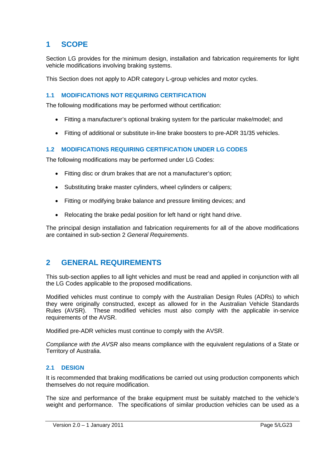# **1 SCOPE**

Section LG provides for the minimum design, installation and fabrication requirements for light vehicle modifications involving braking systems.

This Section does not apply to ADR category L-group vehicles and motor cycles.

#### **1.1 MODIFICATIONS NOT REQUIRING CERTIFICATION**

The following modifications may be performed without certification:

- Fitting a manufacturer's optional braking system for the particular make/model; and
- Fitting of additional or substitute in-line brake boosters to pre-ADR 31/35 vehicles.

#### **1.2 MODIFICATIONS REQUIRING CERTIFICATION UNDER LG CODES**

The following modifications may be performed under LG Codes:

- Fitting disc or drum brakes that are not a manufacturer's option;
- Substituting brake master cylinders, wheel cylinders or calipers;
- Fitting or modifying brake balance and pressure limiting devices; and
- Relocating the brake pedal position for left hand or right hand drive.

The principal design installation and fabrication requirements for all of the above modifications are contained in sub-section 2 *General Requirements*.

# **2 GENERAL REQUIREMENTS**

This sub-section applies to all light vehicles and must be read and applied in conjunction with all the LG Codes applicable to the proposed modifications.

Modified vehicles must continue to comply with the Australian Design Rules (ADRs) to which they were originally constructed, except as allowed for in the Australian Vehicle Standards Rules (AVSR). These modified vehicles must also comply with the applicable in-service requirements of the AVSR.

Modified pre-ADR vehicles must continue to comply with the AVSR.

*Compliance with the AVSR* also means compliance with the equivalent regulations of a State or Territory of Australia.

#### **2.1 DESIGN**

It is recommended that braking modifications be carried out using production components which themselves do not require modification.

The size and performance of the brake equipment must be suitably matched to the vehicle's weight and performance. The specifications of similar production vehicles can be used as a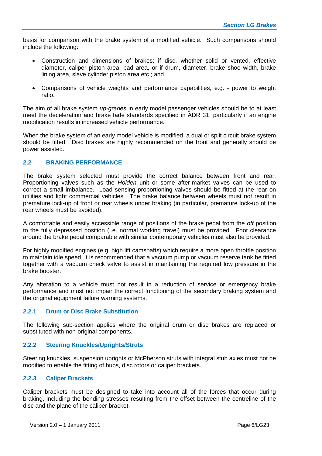basis for comparison with the brake system of a modified vehicle. Such comparisons should include the following:

- Construction and dimensions of brakes; if disc, whether solid or vented, effective diameter, caliper piston area, pad area, or if drum, diameter, brake shoe width, brake lining area, slave cylinder piston area etc.; and
- Comparisons of vehicle weights and performance capabilities, e.g. power to weight ratio.

The aim of all brake system *up-grades* in early model passenger vehicles should be to at least meet the deceleration and brake fade standards specified in ADR 31, particularly if an engine modification results in increased vehicle performance.

When the brake system of an early model vehicle is modified, a dual or split circuit brake system should be fitted. Disc brakes are highly recommended on the front and generally should be power assisted.

#### **2.2 BRAKING PERFORMANCE**

The brake system selected must provide the correct balance between front and rear. Proportioning valves such as the *Holden* unit or some after-market valves can be used to correct a small imbalance. Load sensing proportioning valves should be fitted at the rear on utilities and light commercial vehicles. The brake balance between wheels must not result in premature lock-up of front or rear wheels under braking (in particular, premature lock-up of the rear wheels must be avoided).

A comfortable and easily accessible range of positions of the brake pedal from the *off* position to the fully depressed position (i.e. normal working travel) must be provided. Foot clearance around the brake pedal comparable with similar contemporary vehicles must also be provided.

For highly modified engines (e.g. high lift camshafts) which require a more open throttle position to maintain idle speed, it is recommended that a vacuum pump or vacuum reserve tank be fitted together with a vacuum check valve to assist in maintaining the required low pressure in the brake booster.

Any alteration to a vehicle must not result in a reduction of service or emergency brake performance and must not impair the correct functioning of the secondary braking system and the original equipment failure warning systems.

#### **2.2.1 Drum or Disc Brake Substitution**

The following sub-section applies where the original drum or disc brakes are replaced or substituted with non-original components.

#### **2.2.2 Steering Knuckles/Uprights/Struts**

Steering knuckles, suspension uprights or McPherson struts with integral stub axles must not be modified to enable the fitting of hubs, disc rotors or caliper brackets.

#### **2.2.3 Caliper Brackets**

Caliper brackets must be designed to take into account all of the forces that occur during braking, including the bending stresses resulting from the offset between the centreline of the disc and the plane of the caliper bracket.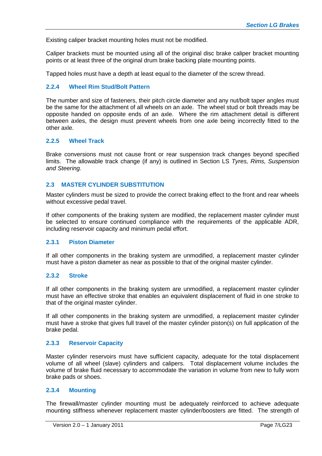Existing caliper bracket mounting holes must not be modified.

Caliper brackets must be mounted using all of the original disc brake caliper bracket mounting points or at least three of the original drum brake backing plate mounting points.

Tapped holes must have a depth at least equal to the diameter of the screw thread.

#### **2.2.4 Wheel Rim Stud/Bolt Pattern**

The number and size of fasteners, their pitch circle diameter and any nut/bolt taper angles must be the same for the attachment of all wheels on an axle. The wheel stud or bolt threads may be opposite handed on opposite ends of an axle. Where the rim attachment detail is different between axles, the design must prevent wheels from one axle being incorrectly fitted to the other axle.

#### **2.2.5 Wheel Track**

Brake conversions must not cause front or rear suspension track changes beyond specified limits. The allowable track change (if any) is outlined in Section LS *Tyres, Rims, Suspension and Steering.*

#### **2.3 MASTER CYLINDER SUBSTITUTION**

Master cylinders must be sized to provide the correct braking effect to the front and rear wheels without excessive pedal travel.

If other components of the braking system are modified, the replacement master cylinder must be selected to ensure continued compliance with the requirements of the applicable ADR, including reservoir capacity and minimum pedal effort.

#### **2.3.1 Piston Diameter**

If all other components in the braking system are unmodified, a replacement master cylinder must have a piston diameter as near as possible to that of the original master cylinder.

#### **2.3.2 Stroke**

If all other components in the braking system are unmodified, a replacement master cylinder must have an effective stroke that enables an equivalent displacement of fluid in one stroke to that of the original master cylinder.

If all other components in the braking system are unmodified, a replacement master cylinder must have a stroke that gives full travel of the master cylinder piston(s) on full application of the brake pedal.

#### **2.3.3 Reservoir Capacity**

Master cylinder reservoirs must have sufficient capacity, adequate for the total displacement volume of all wheel (slave) cylinders and calipers. Total displacement volume includes the volume of brake fluid necessary to accommodate the variation in volume from new to fully worn brake pads or shoes.

#### **2.3.4 Mounting**

The firewall/master cylinder mounting must be adequately reinforced to achieve adequate mounting stiffness whenever replacement master cylinder/boosters are fitted. The strength of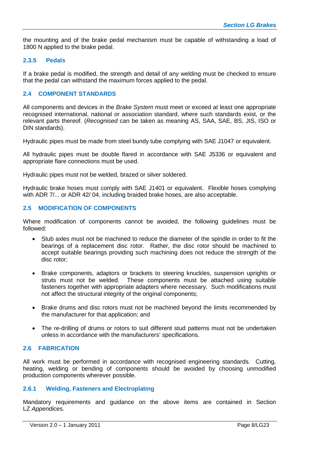the mounting and of the brake pedal mechanism must be capable of withstanding a load of 1800 N applied to the brake pedal.

#### **2.3.5 Pedals**

If a brake pedal is modified, the strength and detail of any welding must be checked to ensure that the pedal can withstand the maximum forces applied to the pedal.

#### **2.4 COMPONENT STANDARDS**

All components and devices in the *Brake System* must meet or exceed at least one appropriate recognised international, national or association standard, where such standards exist, or the relevant parts thereof. (*Recognised* can be taken as meaning AS, SAA, SAE, BS, JIS, ISO or DIN standards).

Hydraulic pipes must be made from steel bundy tube complying with SAE J1047 or equivalent.

All hydraulic pipes must be double flared in accordance with SAE J5336 or equivalent and appropriate flare connections must be used.

Hydraulic pipes must not be welded, brazed or silver soldered.

Hydraulic brake hoses must comply with SAE J1401 or equivalent. Flexible hoses complying with ADR 7/... or ADR 42/04, including braided brake hoses, are also acceptable.

#### **2.5 MODIFICATION OF COMPONENTS**

Where modification of components cannot be avoided, the following guidelines must be followed:

- Stub axles must not be machined to reduce the diameter of the spindle in order to fit the bearings of a replacement disc rotor. Rather, the disc rotor should be machined to accept suitable bearings providing such machining does not reduce the strength of the disc rotor;
- Brake components, adaptors or brackets to steering knuckles, suspension uprights or struts must not be welded. These components must be attached using suitable fasteners together with appropriate adapters where necessary. Such modifications must not affect the structural integrity of the original components;
- Brake drums and disc rotors must not be machined beyond the limits recommended by the manufacturer for that application; and
- The re-drilling of drums or rotors to suit different stud patterns must not be undertaken unless in accordance with the manufacturers' specifications.

#### **2.6 FABRICATION**

All work must be performed in accordance with recognised engineering standards. Cutting, heating, welding or bending of components should be avoided by choosing unmodified production components wherever possible.

#### **2.6.1 Welding, Fasteners and Electroplating**

Mandatory requirements and guidance on the above items are contained in Section LZ *Appendices.*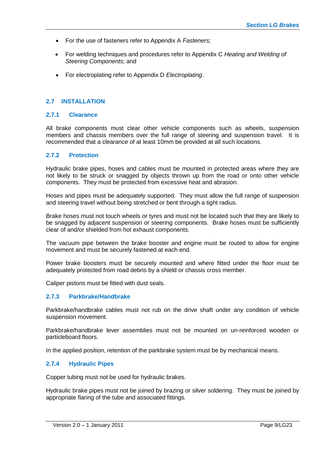- For the use of fasteners refer to Appendix A *Fasteners;*
- For welding techniques and procedures refer to Appendix C *Heating and Welding of Steering Components;* and
- For electroplating refer to Appendix D *Electroplating*.

#### **2.7 INSTALLATION**

#### **2.7.1 Clearance**

All brake components must clear other vehicle components such as wheels, suspension members and chassis members over the full range of steering and suspension travel. It is recommended that a clearance of at least 10mm be provided at all such locations.

#### **2.7.2 Protection**

Hydraulic brake pipes, hoses and cables must be mounted in protected areas where they are not likely to be struck or snagged by objects thrown up from the road or onto other vehicle components. They must be protected from excessive heat and abrasion.

Hoses and pipes must be adequately supported. They must allow the full range of suspension and steering travel without being stretched or bent through a tight radius.

Brake hoses must not touch wheels or tyres and must not be located such that they are likely to be snagged by adjacent suspension or steering components. Brake hoses must be sufficiently clear of and/or shielded from hot exhaust components.

The vacuum pipe between the brake booster and engine must be routed to allow for engine movement and must be securely fastened at each end.

Power brake boosters must be securely mounted and where fitted under the floor must be adequately protected from road debris by a shield or chassis cross member.

Caliper pistons must be fitted with dust seals.

#### **2.7.3 Parkbrake/Handbrake**

Parkbrake/handbrake cables must not rub on the drive shaft under any condition of vehicle suspension movement.

Parkbrake/handbrake lever assemblies must not be mounted on un-reinforced wooden or particleboard floors.

In the applied position, retention of the parkbrake system must be by mechanical means.

#### **2.7.4 Hydraulic Pipes**

Copper tubing must not be used for hydraulic brakes.

Hydraulic brake pipes must not be joined by brazing or silver soldering. They must be joined by appropriate flaring of the tube and associated fittings.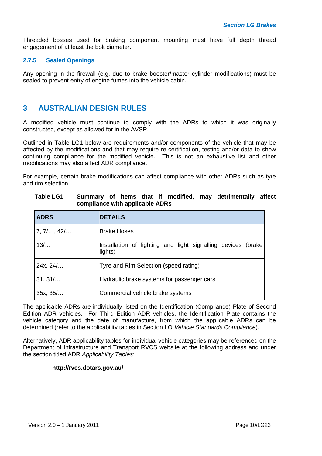Threaded bosses used for braking component mounting must have full depth thread engagement of at least the bolt diameter.

#### **2.7.5 Sealed Openings**

Any opening in the firewall (e.g. due to brake booster/master cylinder modifications) must be sealed to prevent entry of engine fumes into the vehicle cabin.

# **3 AUSTRALIAN DESIGN RULES**

A modified vehicle must continue to comply with the ADRs to which it was originally constructed, except as allowed for in the AVSR.

Outlined in Table LG1 below are requirements and/or components of the vehicle that may be affected by the modifications and that may require re-certification, testing and/or data to show continuing compliance for the modified vehicle. This is not an exhaustive list and other modifications may also affect ADR compliance.

For example, certain brake modifications can affect compliance with other ADRs such as tyre and rim selection.

| <b>ADRS</b>   | <b>DETAILS</b>                                                          |  |  |  |  |  |  |  |  |  |
|---------------|-------------------------------------------------------------------------|--|--|--|--|--|--|--|--|--|
| $7, 7/$ , 42/ | <b>Brake Hoses</b>                                                      |  |  |  |  |  |  |  |  |  |
| 13/           | Installation of lighting and light signalling devices (brake<br>lights) |  |  |  |  |  |  |  |  |  |
| 24x, 24/      | Tyre and Rim Selection (speed rating)                                   |  |  |  |  |  |  |  |  |  |
| 31, 31/       | Hydraulic brake systems for passenger cars                              |  |  |  |  |  |  |  |  |  |
| 35x, 35/      | Commercial vehicle brake systems                                        |  |  |  |  |  |  |  |  |  |

| Table LG1 |                                 |  |  |  | Summary of items that if modified, may detrimentally affect |  |
|-----------|---------------------------------|--|--|--|-------------------------------------------------------------|--|
|           | compliance with applicable ADRs |  |  |  |                                                             |  |

The applicable ADRs are individually listed on the Identification (Compliance) Plate of Second Edition ADR vehicles. For Third Edition ADR vehicles, the Identification Plate contains the vehicle category and the date of manufacture, from which the applicable ADRs can be determined (refer to the applicability tables in Section LO *Vehicle Standards Compliance*).

Alternatively, ADR applicability tables for individual vehicle categories may be referenced on the Department of Infrastructure and Transport RVCS website at the following address and under the section titled ADR *Applicability Tables*:

#### **http://rvcs.dotars.gov.au/**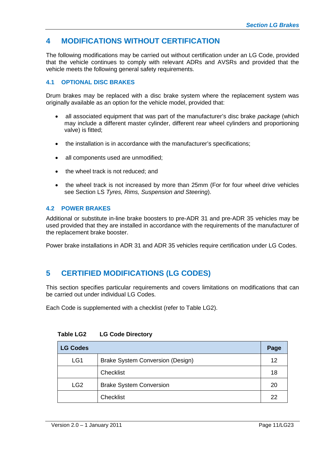# **4 MODIFICATIONS WITHOUT CERTIFICATION**

The following modifications may be carried out without certification under an LG Code, provided that the vehicle continues to comply with relevant ADRs and AVSRs and provided that the vehicle meets the following general safety requirements.

#### **4.1 OPTIONAL DISC BRAKES**

Drum brakes may be replaced with a disc brake system where the replacement system was originally available as an option for the vehicle model, provided that:

- all associated equipment that was part of the manufacturer's disc brake *package* (which may include a different master cylinder, different rear wheel cylinders and proportioning valve) is fitted;
- the installation is in accordance with the manufacturer's specifications;
- all components used are unmodified;
- the wheel track is not reduced; and
- the wheel track is not increased by more than 25mm (For for four wheel drive vehicles see Section LS *Tyres, Rims, Suspension and Steering*).

#### **4.2 POWER BRAKES**

Additional or substitute in-line brake boosters to pre-ADR 31 and pre-ADR 35 vehicles may be used provided that they are installed in accordance with the requirements of the manufacturer of the replacement brake booster.

Power brake installations in ADR 31 and ADR 35 vehicles require certification under LG Codes.

# **5 CERTIFIED MODIFICATIONS (LG CODES)**

This section specifies particular requirements and covers limitations on modifications that can be carried out under individual LG Codes.

Each Code is supplemented with a checklist (refer to Table LG2).

| <b>LG Codes</b> |                                         | Page |
|-----------------|-----------------------------------------|------|
| LG1             | <b>Brake System Conversion (Design)</b> | 12   |
|                 | <b>Checklist</b>                        | 18   |
| LG <sub>2</sub> | <b>Brake System Conversion</b>          | 20   |
|                 | <b>Checklist</b>                        | 22   |

#### **Table LG2 LG Code Directory**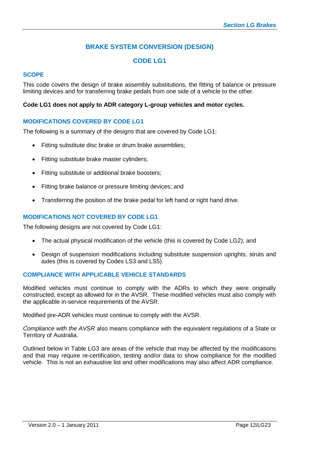# **BRAKE SYSTEM CONVERSION (DESIGN)**

# **CODE LG1**

### **SCOPE**

This code covers the design of brake assembly substitutions, the fitting of balance or pressure limiting devices and for transferring brake pedals from one side of a vehicle to the other.

#### **Code LG1 does not apply to ADR category L-group vehicles and motor cycles.**

#### **MODIFICATIONS COVERED BY CODE LG1**

The following is a summary of the designs that are covered by Code LG1:

- Fitting substitute disc brake or drum brake assemblies;
- Fitting substitute brake master cylinders;
- Fitting substitute or additional brake boosters;
- Fitting brake balance or pressure limiting devices; and
- Transferring the position of the brake pedal for left hand or right hand drive.

#### **MODIFICATIONS NOT COVERED BY CODE LG1**

The following designs are not covered by Code LG1:

- The actual physical modification of the vehicle (this is covered by Code LG2); and
- Design of suspension modifications including substitute suspension uprights, struts and axles (this is covered by Codes LS3 and LS5).

#### **COMPLIANCE WITH APPLICABLE VEHICLE STANDARDS**

Modified vehicles must continue to comply with the ADRs to which they were originally constructed, except as allowed for in the AVSR. These modified vehicles must also comply with the applicable in-service requirements of the AVSR.

Modified pre-ADR vehicles must continue to comply with the AVSR.

*Compliance with the AVSR* also means compliance with the equivalent regulations of a State or Territory of Australia.

Outlined below in Table LG3 are areas of the vehicle that may be affected by the modifications and that may require re-certification, testing and/or data to show compliance for the modified vehicle. This is not an exhaustive list and other modifications may also affect ADR compliance.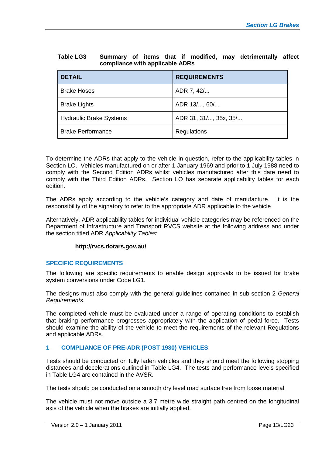| Table LG3 |                                 |  |  |  | Summary of items that if modified, may detrimentally affect |  |
|-----------|---------------------------------|--|--|--|-------------------------------------------------------------|--|
|           | compliance with applicable ADRs |  |  |  |                                                             |  |

| <b>DETAIL</b>                  | <b>REQUIREMENTS</b>   |
|--------------------------------|-----------------------|
| <b>Brake Hoses</b>             | ADR 7, 42/            |
| <b>Brake Lights</b>            | ADR 13/, 60/          |
| <b>Hydraulic Brake Systems</b> | ADR 31, 31/, 35x, 35/ |
| <b>Brake Performance</b>       | Regulations           |

To determine the ADRs that apply to the vehicle in question, refer to the applicability tables in Section LO. Vehicles manufactured on or after 1 January 1969 and prior to 1 July 1988 need to comply with the Second Edition ADRs whilst vehicles manufactured after this date need to comply with the Third Edition ADRs. Section LO has separate applicability tables for each edition.

The ADRs apply according to the vehicle's category and date of manufacture. It is the responsibility of the signatory to refer to the appropriate ADR applicable to the vehicle

Alternatively, ADR applicability tables for individual vehicle categories may be referenced on the Department of Infrastructure and Transport RVCS website at the following address and under the section titled ADR *Applicability Tables*:

#### **http://rvcs.dotars.gov.au/**

#### **SPECIFIC REQUIREMENTS**

The following are specific requirements to enable design approvals to be issued for brake system conversions under Code LG1.

The designs must also comply with the general guidelines contained in sub-section 2 *General Requirements*.

The completed vehicle must be evaluated under a range of operating conditions to establish that braking performance progresses appropriately with the application of pedal force. Tests should examine the ability of the vehicle to meet the requirements of the relevant Regulations and applicable ADRs.

#### **1 COMPLIANCE OF PRE-ADR (POST 1930) VEHICLES**

Tests should be conducted on fully laden vehicles and they should meet the following stopping distances and decelerations outlined in Table LG4. The tests and performance levels specified in Table LG4 are contained in the AVSR.

The tests should be conducted on a smooth dry level road surface free from loose material.

The vehicle must not move outside a 3.7 metre wide straight path centred on the longitudinal axis of the vehicle when the brakes are initially applied.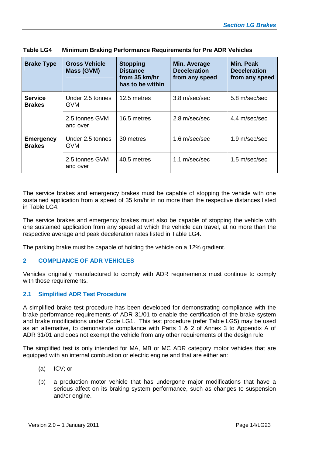| <b>Brake Type</b>                 | <b>Gross Vehicle</b><br>Mass (GVM) | <b>Stopping</b><br><b>Distance</b><br>from 35 km/hr<br>has to be within | Min. Average<br><b>Deceleration</b><br>from any speed | Min. Peak<br><b>Deceleration</b><br>from any speed |
|-----------------------------------|------------------------------------|-------------------------------------------------------------------------|-------------------------------------------------------|----------------------------------------------------|
| <b>Service</b><br><b>Brakes</b>   | Under 2.5 tonnes<br><b>GVM</b>     | 12.5 metres                                                             | 3.8 m/sec/sec                                         | 5.8 m/sec/sec                                      |
|                                   | 2.5 tonnes GVM<br>and over         | 16.5 metres                                                             | 2.8 m/sec/sec                                         | 4.4 m/sec/sec                                      |
| <b>Emergency</b><br><b>Brakes</b> | Under 2.5 tonnes<br><b>GVM</b>     | 30 metres                                                               | $1.6$ m/sec/sec                                       | $1.9 \text{ m/sec/sec}$                            |
|                                   | 2.5 tonnes GVM<br>and over         | 40.5 metres                                                             | 1.1 m/sec/sec                                         | $1.5 \text{ m/sec/sec}$                            |

The service brakes and emergency brakes must be capable of stopping the vehicle with one sustained application from a speed of 35 km/hr in no more than the respective distances listed in Table LG4.

The service brakes and emergency brakes must also be capable of stopping the vehicle with one sustained application from any speed at which the vehicle can travel, at no more than the respective average and peak deceleration rates listed in Table LG4.

The parking brake must be capable of holding the vehicle on a 12% gradient.

#### **2 COMPLIANCE OF ADR VEHICLES**

Vehicles originally manufactured to comply with ADR requirements must continue to comply with those requirements.

#### **2.1 Simplified ADR Test Procedure**

A simplified brake test procedure has been developed for demonstrating compliance with the brake performance requirements of ADR 31/01 to enable the certification of the brake system and brake modifications under Code LG1. This test procedure (refer Table LG5) may be used as an alternative, to demonstrate compliance with Parts 1 & 2 of Annex 3 to Appendix A of ADR 31/01 and does not exempt the vehicle from any other requirements of the design rule.

The simplified test is only intended for MA, MB or MC ADR category motor vehicles that are equipped with an internal combustion or electric engine and that are either an:

- (a) ICV; or
- (b) a production motor vehicle that has undergone major modifications that have a serious affect on its braking system performance, such as changes to suspension and/or engine.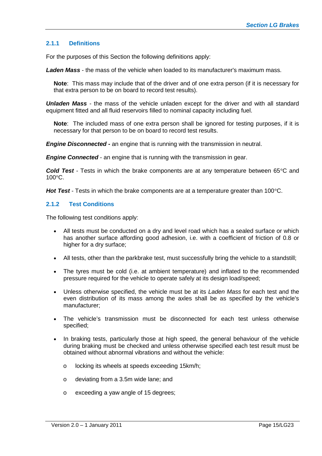#### **2.1.1 Definitions**

For the purposes of this Section the following definitions apply:

*Laden Mass* - the mass of the vehicle when loaded to its manufacturer's maximum mass.

**Note**: This mass may include that of the driver and of one extra person (if it is necessary for that extra person to be on board to record test results).

*Unladen Mass* - the mass of the vehicle unladen except for the driver and with all standard equipment fitted and all fluid reservoirs filled to nominal capacity including fuel.

**Note**: The included mass of one extra person shall be ignored for testing purposes, if it is necessary for that person to be on board to record test results.

*Engine Disconnected* **-** an engine that is running with the transmission in neutral.

*Engine Connected* - an engine that is running with the transmission in gear.

*Cold Test* - Tests in which the brake components are at any temperature between 65°C and 100°C.

*Hot Test* - Tests in which the brake components are at a temperature greater than 100°C.

#### **2.1.2 Test Conditions**

The following test conditions apply:

- All tests must be conducted on a dry and level road which has a sealed surface or which has another surface affording good adhesion, i.e. with a coefficient of friction of 0.8 or higher for a dry surface;
- All tests, other than the parkbrake test, must successfully bring the vehicle to a standstill;
- The tyres must be cold (i.e. at ambient temperature) and inflated to the recommended pressure required for the vehicle to operate safely at its design load/speed;
- Unless otherwise specified, the vehicle must be at its *Laden Mass* for each test and the even distribution of its mass among the axles shall be as specified by the vehicle's manufacturer;
- The vehicle's transmission must be disconnected for each test unless otherwise specified;
- In braking tests, particularly those at high speed, the general behaviour of the vehicle during braking must be checked and unless otherwise specified each test result must be obtained without abnormal vibrations and without the vehicle:
	- o locking its wheels at speeds exceeding 15km/h;
	- o deviating from a 3.5m wide lane; and
	- o exceeding a yaw angle of 15 degrees;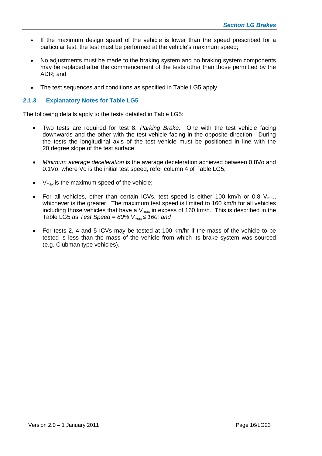- If the maximum design speed of the vehicle is lower than the speed prescribed for a particular test, the test must be performed at the vehicle's maximum speed;
- No adjustments must be made to the braking system and no braking system components may be replaced after the commencement of the tests other than those permitted by the ADR; and
- The test sequences and conditions as specified in Table LG5 apply.

#### **2.1.3 Explanatory Notes for Table LG5**

The following details apply to the tests detailed in Table LG5:

- Two tests are required for test 8, *Parking Brake*. One with the test vehicle facing downwards and the other with the test vehicle facing in the opposite direction. During the tests the longitudinal axis of the test vehicle must be positioned in line with the 20 degree slope of the test surface;
- *Minimum average deceleration* is the average deceleration achieved between 0.8Vo and 0.1Vo, where Vo is the initial test speed, refer column 4 of Table LG5;
- $V_{\text{max}}$  is the maximum speed of the vehicle;
- For all vehicles, other than certain ICVs, test speed is either 100 km/h or 0.8  $V_{max}$ , whichever is the greater. The maximum test speed is limited to 160 km/h for all vehicles including those vehicles that have a  $V_{max}$  in excess of 160 km/h. This is described in the Table LG5 as *Test Speed = 80% Vmax* ≤ *160; and*
- For tests 2, 4 and 5 ICVs may be tested at 100 km/hr if the mass of the vehicle to be tested is less than the mass of the vehicle from which its brake system was sourced (e.g. Clubman type vehicles).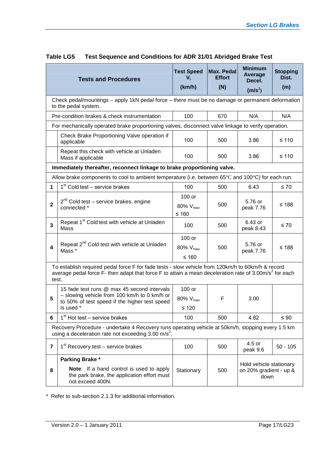|                                                                                                                          | <b>Tests and Procedures</b>                                                                                                                                                                                             | <b>Test Speed</b><br>$V_i$<br>(km/h) | <b>Max. Pedal</b><br><b>Effort</b><br>(N) | <b>Minimum</b><br>Average<br>Decel.<br>(m/s <sup>2</sup> ) | <b>Stopping</b><br>Dist.<br>(m) |  |  |  |  |
|--------------------------------------------------------------------------------------------------------------------------|-------------------------------------------------------------------------------------------------------------------------------------------------------------------------------------------------------------------------|--------------------------------------|-------------------------------------------|------------------------------------------------------------|---------------------------------|--|--|--|--|
| Check pedal/mountings - apply 1kN pedal force - there must be no damage or permanent deformation<br>to the pedal system. |                                                                                                                                                                                                                         |                                      |                                           |                                                            |                                 |  |  |  |  |
|                                                                                                                          | Pre-condition brakes & check instrumentation                                                                                                                                                                            | 100                                  | 670                                       | N/A                                                        | N/A                             |  |  |  |  |
|                                                                                                                          | For mechanically operated brake proportioning valves, disconnect valve linkage to verify operation.                                                                                                                     |                                      |                                           |                                                            |                                 |  |  |  |  |
|                                                                                                                          | Check Brake Proportioning Valve operation if<br>applicable                                                                                                                                                              | 100                                  | 500                                       | 3.86                                                       | $≤ 110$                         |  |  |  |  |
|                                                                                                                          | Repeat this check with vehicle at Unladen<br>Mass if applicable                                                                                                                                                         | 100                                  | 500                                       | 3.86                                                       | $≤ 110$                         |  |  |  |  |
|                                                                                                                          | Immediately thereafter, reconnect linkage to brake proportioning valve.                                                                                                                                                 |                                      |                                           |                                                            |                                 |  |  |  |  |
|                                                                                                                          | Allow brake components to cool to ambient temperature (i.e. between $65^{\circ}$ C and $100^{\circ}$ C) for each run.                                                                                                   |                                      |                                           |                                                            |                                 |  |  |  |  |
| $\mathbf{1}$                                                                                                             | 1 <sup>st</sup> Cold test – service brakes                                                                                                                                                                              | 100                                  | 500                                       | 6.43                                                       | $\leq 70$                       |  |  |  |  |
|                                                                                                                          | $2^{nd}$ Cold test – service brakes, engine                                                                                                                                                                             | 100 or                               |                                           | 5.76 or                                                    | ≤ 188                           |  |  |  |  |
| $\mathbf{2}$                                                                                                             | connected *                                                                                                                                                                                                             | 80% $V_{\text{max}}$<br>$≤ 160$      | 500                                       | peak 7.76                                                  |                                 |  |  |  |  |
| $\overline{\mathbf{3}}$                                                                                                  | Repeat 1 <sup>st</sup> Cold test with vehicle at Unladen<br>Mass                                                                                                                                                        | 100                                  | 500                                       | 6.43 or<br>peak 8.43                                       | $\leq 70$                       |  |  |  |  |
|                                                                                                                          |                                                                                                                                                                                                                         | 100 or                               |                                           |                                                            | $≤ 188$                         |  |  |  |  |
| 4                                                                                                                        | Repeat 2 <sup>nd</sup> Cold test with vehicle at Unladen<br>Mass *                                                                                                                                                      | 80% V <sub>max</sub><br>$≤ 160$      | 500                                       | 5.76 or<br>peak 7.76                                       |                                 |  |  |  |  |
| test.                                                                                                                    | To establish required pedal force F for fade tests - slow vehicle from 120km/h to 60km/h & record<br>average pedal force F- then adapt that force F to attain a mean deceleration rate of 3.00m/s <sup>2</sup> for each |                                      |                                           |                                                            |                                 |  |  |  |  |
|                                                                                                                          | 15 fade test runs @ max 45 second intervals                                                                                                                                                                             | 100 or                               |                                           |                                                            |                                 |  |  |  |  |
| 5                                                                                                                        | - slowing vehicle from 100 km/h to 0 km/h or<br>to 50% of test speed if the higher test speed                                                                                                                           | 80% $V_{max}$                        | F                                         | 3.00                                                       |                                 |  |  |  |  |
|                                                                                                                          | is used *                                                                                                                                                                                                               | $\leq 120$                           |                                           |                                                            |                                 |  |  |  |  |
| 6                                                                                                                        | $1st$ Hot test – service brakes                                                                                                                                                                                         | 100                                  | 500                                       | 4.82                                                       | $\leq 90$                       |  |  |  |  |
|                                                                                                                          | Recovery Procedure - undertake 4 Recovery runs operating vehicle at 50km/h, stopping every 1.5 km<br>using a deceleration rate not exceeding $3.00 \text{ m/s}^2$ .                                                     |                                      |                                           |                                                            |                                 |  |  |  |  |
| 7                                                                                                                        | $1st$ Recovery test – service brakes                                                                                                                                                                                    | 100                                  | 500                                       | 4.5 or<br>peak 9.6                                         | $50 - 105$                      |  |  |  |  |
|                                                                                                                          | Parking Brake*                                                                                                                                                                                                          |                                      |                                           |                                                            |                                 |  |  |  |  |
| 8                                                                                                                        | <b>Note:</b> If a hand control is used to apply<br>the park brake, the application effort must<br>not exceed 400N.                                                                                                      | Stationary                           | 500                                       | Hold vehicle stationary<br>on 20% gradient - up &<br>down  |                                 |  |  |  |  |

# **Table LG5 Test Sequence and Conditions for ADR 31/01 Abridged Brake Test**

\* Refer to sub-section 2.1.3 for additional information.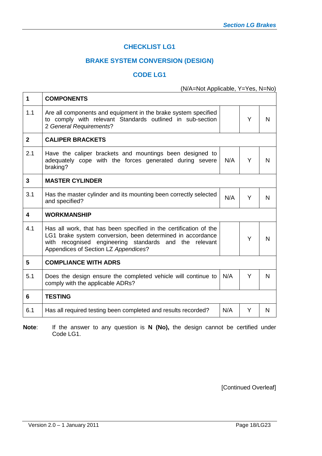# **CHECKLIST LG1**

# **BRAKE SYSTEM CONVERSION (DESIGN)**

### **CODE LG1**

(N/A=Not Applicable, Y=Yes, N=No)

| N |
|---|
|   |
|   |
| N |
|   |
| N |
|   |
| N |
|   |
| N |
|   |
| N |
|   |

**Note**: If the answer to any question is **N (No),** the design cannot be certified under Code LG1.

[Continued Overleaf]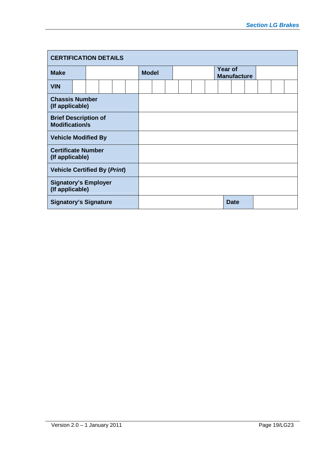| <b>CERTIFICATION DETAILS</b>                         |  |  |  |  |  |              |  |  |  |  |                                      |             |  |  |  |  |
|------------------------------------------------------|--|--|--|--|--|--------------|--|--|--|--|--------------------------------------|-------------|--|--|--|--|
| <b>Make</b>                                          |  |  |  |  |  | <b>Model</b> |  |  |  |  | <b>Year of</b><br><b>Manufacture</b> |             |  |  |  |  |
| <b>VIN</b>                                           |  |  |  |  |  |              |  |  |  |  |                                      |             |  |  |  |  |
| <b>Chassis Number</b><br>(If applicable)             |  |  |  |  |  |              |  |  |  |  |                                      |             |  |  |  |  |
| <b>Brief Description of</b><br><b>Modification/s</b> |  |  |  |  |  |              |  |  |  |  |                                      |             |  |  |  |  |
| <b>Vehicle Modified By</b>                           |  |  |  |  |  |              |  |  |  |  |                                      |             |  |  |  |  |
| <b>Certificate Number</b><br>(If applicable)         |  |  |  |  |  |              |  |  |  |  |                                      |             |  |  |  |  |
| <b>Vehicle Certified By (Print)</b>                  |  |  |  |  |  |              |  |  |  |  |                                      |             |  |  |  |  |
| <b>Signatory's Employer</b><br>(If applicable)       |  |  |  |  |  |              |  |  |  |  |                                      |             |  |  |  |  |
| <b>Signatory's Signature</b>                         |  |  |  |  |  |              |  |  |  |  |                                      | <b>Date</b> |  |  |  |  |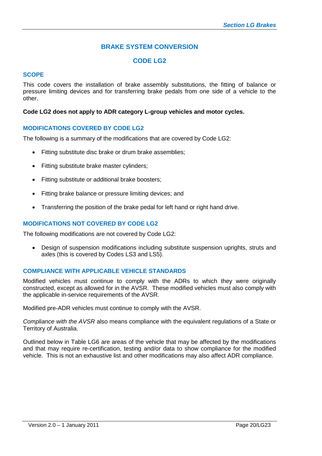# **BRAKE SYSTEM CONVERSION**

## **CODE LG2**

#### **SCOPE**

This code covers the installation of brake assembly substitutions, the fitting of balance or pressure limiting devices and for transferring brake pedals from one side of a vehicle to the other.

#### **Code LG2 does not apply to ADR category L-group vehicles and motor cycles.**

#### **MODIFICATIONS COVERED BY CODE LG2**

The following is a summary of the modifications that are covered by Code LG2:

- Fitting substitute disc brake or drum brake assemblies;
- Fitting substitute brake master cylinders;
- Fitting substitute or additional brake boosters;
- Fitting brake balance or pressure limiting devices: and
- Transferring the position of the brake pedal for left hand or right hand drive.

#### **MODIFICATIONS NOT COVERED BY CODE LG2**

The following modifications are not covered by Code LG2:

 Design of suspension modifications including substitute suspension uprights, struts and axles (this is covered by Codes LS3 and LS5).

#### **COMPLIANCE WITH APPLICABLE VEHICLE STANDARDS**

Modified vehicles must continue to comply with the ADRs to which they were originally constructed, except as allowed for in the AVSR. These modified vehicles must also comply with the applicable in-service requirements of the AVSR.

Modified pre-ADR vehicles must continue to comply with the AVSR.

*Compliance with the AVSR* also means compliance with the equivalent regulations of a State or Territory of Australia.

Outlined below in Table LG6 are areas of the vehicle that may be affected by the modifications and that may require re-certification, testing and/or data to show compliance for the modified vehicle. This is not an exhaustive list and other modifications may also affect ADR compliance.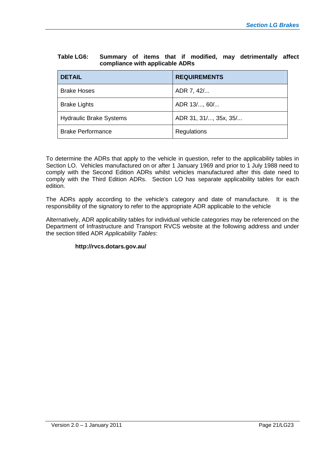| Table LG6: |                                 |  |  |  | Summary of items that if modified, may detrimentally affect |  |
|------------|---------------------------------|--|--|--|-------------------------------------------------------------|--|
|            | compliance with applicable ADRs |  |  |  |                                                             |  |

| <b>DETAIL</b>                  | <b>REQUIREMENTS</b>   |
|--------------------------------|-----------------------|
| <b>Brake Hoses</b>             | ADR 7, 42/            |
| <b>Brake Lights</b>            | ADR 13/, 60/          |
| <b>Hydraulic Brake Systems</b> | ADR 31, 31/, 35x, 35/ |
| <b>Brake Performance</b>       | Regulations           |

To determine the ADRs that apply to the vehicle in question, refer to the applicability tables in Section LO. Vehicles manufactured on or after 1 January 1969 and prior to 1 July 1988 need to comply with the Second Edition ADRs whilst vehicles manufactured after this date need to comply with the Third Edition ADRs. Section LO has separate applicability tables for each edition.

The ADRs apply according to the vehicle's category and date of manufacture. It is the responsibility of the signatory to refer to the appropriate ADR applicable to the vehicle

Alternatively, ADR applicability tables for individual vehicle categories may be referenced on the Department of Infrastructure and Transport RVCS website at the following address and under the section titled ADR *Applicability Tables*:

#### **http://rvcs.dotars.gov.au/**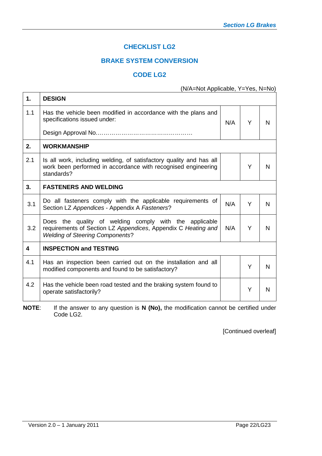# **CHECKLIST LG2**

# **BRAKE SYSTEM CONVERSION**

# **CODE LG2**

(N/A=Not Applicable, Y=Yes, N=No)

| 1.  | <b>DESIGN</b>                                                                                                                                                     |     |   |   |
|-----|-------------------------------------------------------------------------------------------------------------------------------------------------------------------|-----|---|---|
| 1.1 | Has the vehicle been modified in accordance with the plans and<br>specifications issued under:                                                                    | N/A | Y | N |
|     |                                                                                                                                                                   |     |   |   |
| 2.  | <b>WORKMANSHIP</b>                                                                                                                                                |     |   |   |
| 2.1 | Is all work, including welding, of satisfactory quality and has all<br>work been performed in accordance with recognised engineering<br>standards?                |     | Y | N |
| 3.  | <b>FASTENERS AND WELDING</b>                                                                                                                                      |     |   |   |
| 3.1 | Do all fasteners comply with the applicable requirements of<br>Section LZ Appendices - Appendix A Fasteners?                                                      | N/A | Y | N |
| 3.2 | Does the quality of welding comply with the applicable<br>requirements of Section LZ Appendices, Appendix C Heating and<br><b>Welding of Steering Components?</b> | N/A | Y | N |
| 4   | <b>INSPECTION and TESTING</b>                                                                                                                                     |     |   |   |
| 4.1 | Has an inspection been carried out on the installation and all<br>modified components and found to be satisfactory?                                               |     | Y | N |
| 4.2 | Has the vehicle been road tested and the braking system found to<br>operate satisfactorily?                                                                       |     | Y | N |

**NOTE**: If the answer to any question is **N (No),** the modification cannot be certified under Code LG2.

[Continued overleaf]